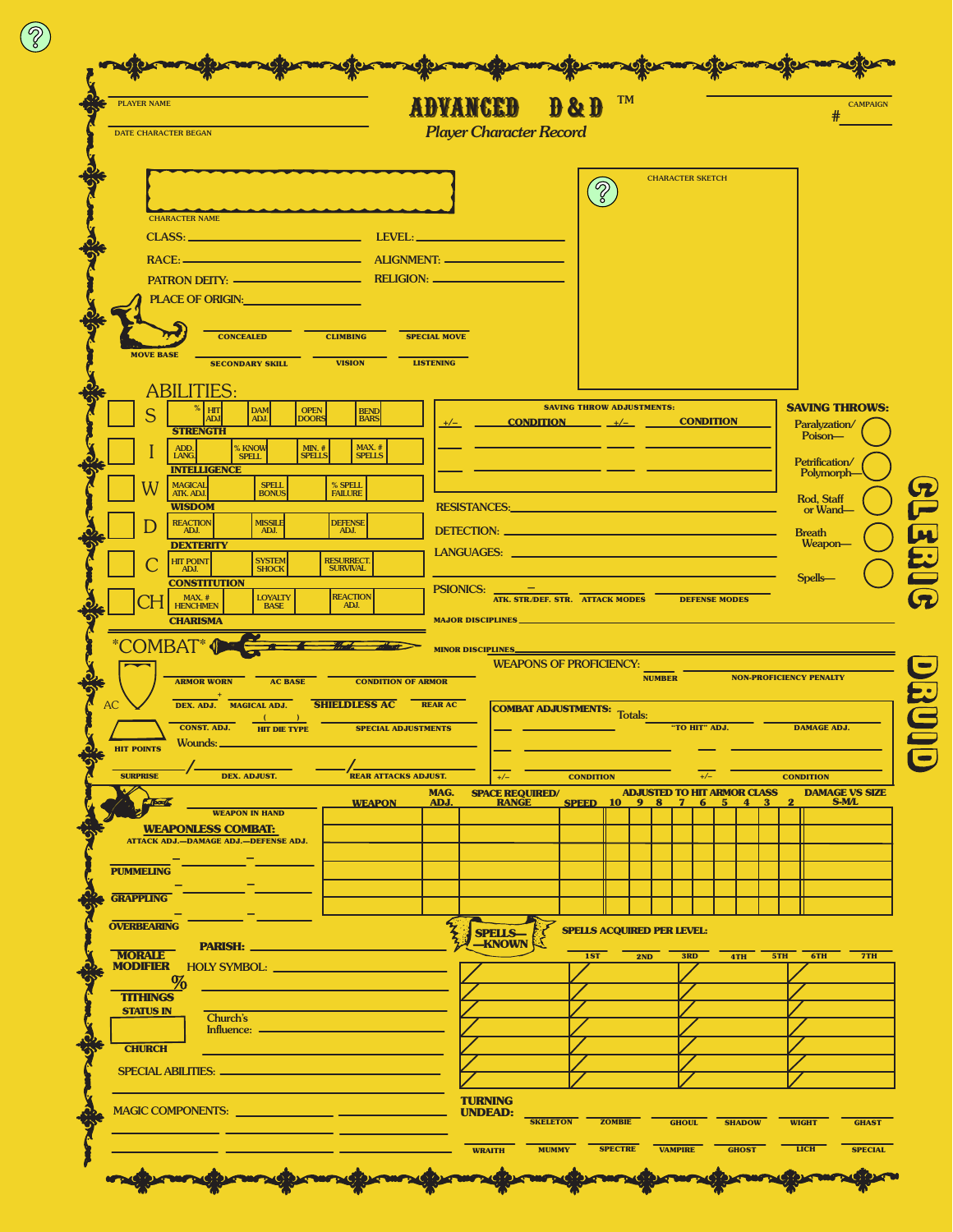| <b>PLAYER NAME</b><br>DATE CHARACTER BEGAN                                                                                                                                                                                     |                                                                                                                                                                                                                                |                     | <b>ABYANCEB</b><br><b>Player Character Record</b>                                                                                                                                                                              | $\mathbf{B}$ & $\mathbf{B}$ | <b>TM</b>                         |               |                                                 |               |                              | <b>CAMPAIGN</b>                        |
|--------------------------------------------------------------------------------------------------------------------------------------------------------------------------------------------------------------------------------|--------------------------------------------------------------------------------------------------------------------------------------------------------------------------------------------------------------------------------|---------------------|--------------------------------------------------------------------------------------------------------------------------------------------------------------------------------------------------------------------------------|-----------------------------|-----------------------------------|---------------|-------------------------------------------------|---------------|------------------------------|----------------------------------------|
|                                                                                                                                                                                                                                |                                                                                                                                                                                                                                |                     |                                                                                                                                                                                                                                |                             |                                   |               |                                                 |               |                              |                                        |
|                                                                                                                                                                                                                                |                                                                                                                                                                                                                                |                     |                                                                                                                                                                                                                                |                             |                                   |               | <b>CHARACTER SKETCH</b>                         |               |                              |                                        |
|                                                                                                                                                                                                                                |                                                                                                                                                                                                                                |                     |                                                                                                                                                                                                                                | $\mathcal{P}$               |                                   |               |                                                 |               |                              |                                        |
| <b>CHARACTER NAME</b><br>CLASS:                                                                                                                                                                                                |                                                                                                                                                                                                                                |                     |                                                                                                                                                                                                                                |                             |                                   |               |                                                 |               |                              |                                        |
| RACE: 2008 2009 2010 2021 2022 2023 2024 2022 2022 2023 2024 2022 2023 2024 2022 2023 2024 2022 2023 2024 2022                                                                                                                 |                                                                                                                                                                                                                                |                     | ALIGNMENT:                                                                                                                                                                                                                     |                             |                                   |               |                                                 |               |                              |                                        |
|                                                                                                                                                                                                                                |                                                                                                                                                                                                                                |                     |                                                                                                                                                                                                                                |                             |                                   |               |                                                 |               |                              |                                        |
| PLACE OF ORIGIN: New York Contract of the Second Second Second Second Second Second Second Second Second Second Second Second Second Second Second Second Second Second Second Second Second Second Second Second Second Secon |                                                                                                                                                                                                                                |                     |                                                                                                                                                                                                                                |                             |                                   |               |                                                 |               |                              |                                        |
| <b>CLIMBING</b><br><b>CONCEALED</b>                                                                                                                                                                                            |                                                                                                                                                                                                                                | <b>SPECIAL MOVE</b> |                                                                                                                                                                                                                                |                             |                                   |               |                                                 |               |                              |                                        |
| <b>MOVE BASE</b><br><b>SECONDARY SKILL</b><br><b>VISION</b>                                                                                                                                                                    |                                                                                                                                                                                                                                | <b>LISTENING</b>    |                                                                                                                                                                                                                                |                             |                                   |               |                                                 |               |                              |                                        |
| <b>ABILITIES:</b>                                                                                                                                                                                                              |                                                                                                                                                                                                                                |                     |                                                                                                                                                                                                                                |                             |                                   |               |                                                 |               |                              |                                        |
| HIT<br><b>DAM</b><br>OPEN<br>DOORS<br><b>ADJ</b><br>ADJ.<br><b>STRENGTH</b>                                                                                                                                                    | <b>BEND</b><br><b>BARS</b>                                                                                                                                                                                                     |                     | <b>SAVING THROW ADJUSTMENTS:</b><br><b>CONDITION</b> $+/-$ <b>CONDITION</b><br>$+/-$                                                                                                                                           |                             |                                   |               |                                                 |               |                              | <b>SAVING THROWS:</b><br>Paralyzation/ |
| ADD.<br>LANG.<br>% KNOW<br>SPELL<br><b>MIN.</b> #<br><b>SPELLS</b>                                                                                                                                                             | MAX. #<br><b>SPELLS</b>                                                                                                                                                                                                        |                     |                                                                                                                                                                                                                                |                             |                                   |               |                                                 |               |                              | Poison-                                |
| <b>INTELLIGENCE</b><br><b>SPELL</b><br>% SPELL                                                                                                                                                                                 |                                                                                                                                                                                                                                |                     |                                                                                                                                                                                                                                |                             |                                   |               |                                                 |               | Petrification/<br>Polymorph- |                                        |
| MAGICAL<br>ATK. ADJ.<br><b>FAILURE</b><br><b>BONUS</b><br><b>WISDOM</b>                                                                                                                                                        |                                                                                                                                                                                                                                | <b>RESISTANCES:</b> |                                                                                                                                                                                                                                |                             |                                   |               |                                                 |               | Rod, Staff<br>or Wand-       |                                        |
| <b>REACTION</b><br><b>MISSILE</b><br><b>DEFENSE</b><br>ADJ.<br>ADJ.<br>ADJ.                                                                                                                                                    | DETECTION: New York State Contract of the Contract of the Contract of the Contract of the Contract of the Contract of the Contract of the Contract of the Contract of the Contract of the Contract of the Contract of the Cont |                     |                                                                                                                                                                                                                                |                             |                                   |               |                                                 | <b>Breath</b> |                              |                                        |
| <b>DEXTERITY</b><br><b>RESURRECT</b><br><b>HIT POINT</b><br><b>SYSTEM</b><br><b>SHOCK</b><br><b>SURVIVAL</b><br>ADJ.                                                                                                           |                                                                                                                                                                                                                                |                     | LANGUAGES: University of the contract of the contract of the contract of the contract of the contract of the contract of the contract of the contract of the contract of the contract of the contract of the contract of the c |                             |                                   |               |                                                 |               |                              | Weapon-                                |
| <b>CONSTITUTION</b><br><b>REACTION</b>                                                                                                                                                                                         |                                                                                                                                                                                                                                |                     | PSIONICS: _<br><b>ATK. STR.DEF. STR. ATTACK MODES DEFENSE MODES</b>                                                                                                                                                            |                             |                                   |               |                                                 |               |                              | <b>Spells</b>                          |
| $MAX.$ #HENCHMEN<br><b>LOYALTY</b><br>ADJ.<br><b>BASE</b><br><b>CHARISMA</b>                                                                                                                                                   |                                                                                                                                                                                                                                |                     | <b>MAJOR DISCIPLINES_</b>                                                                                                                                                                                                      |                             |                                   |               |                                                 |               |                              |                                        |
| *COMBAT* 1                                                                                                                                                                                                                     |                                                                                                                                                                                                                                |                     | <b>MINOR DISCIPLINES</b>                                                                                                                                                                                                       |                             |                                   |               |                                                 |               |                              |                                        |
|                                                                                                                                                                                                                                |                                                                                                                                                                                                                                |                     | <b>WEAPONS OF PROFICIENCY:</b>                                                                                                                                                                                                 |                             |                                   | <b>NUMBER</b> |                                                 |               |                              | <b>NON-PROFICIENCY PENALTY</b>         |
| <b>AC BASE</b><br><b>ARMOR WORN</b><br>DEX. ADJ. MAGICAL ADJ.<br>AC                                                                                                                                                            | <b>CONDITION OF ARMOR</b><br><b>SHIELDLESS AC REAR AC</b>                                                                                                                                                                      |                     |                                                                                                                                                                                                                                |                             |                                   |               |                                                 |               |                              |                                        |
| <b>CONST. ADJ.</b><br><b>HIT DIE TYPE</b>                                                                                                                                                                                      | <b>SPECIAL ADJUSTMENTS</b>                                                                                                                                                                                                     |                     | <b>COMBAT ADJUSTMENTS:</b> Totals:                                                                                                                                                                                             |                             |                                   |               | "TO HIT" ADJ.                                   |               |                              | <b>DAMAGE ADJ.</b>                     |
| Wounds:<br><b>HIT POINTS</b>                                                                                                                                                                                                   |                                                                                                                                                                                                                                |                     |                                                                                                                                                                                                                                |                             |                                   |               |                                                 |               |                              |                                        |
| DEX. ADJUST.<br><b>SURPRISE</b>                                                                                                                                                                                                | <b>REAR ATTACKS ADJUST.</b>                                                                                                                                                                                                    |                     | $+/-$                                                                                                                                                                                                                          | <b>CONDITION</b>            |                                   |               | $+/-$                                           |               |                              | <b>CONDITION</b>                       |
| $15 - 16$<br><b>WEAPON IN HAND</b>                                                                                                                                                                                             | <b>WEAPON</b>                                                                                                                                                                                                                  | MAG.<br>ADJ.        | <b>SPACE REQUIRED/</b><br><b>RANGE</b>                                                                                                                                                                                         |                             | <b>SPEED 10 9 8</b>               |               | <b>ADJUSTED TO HIT ARMOR CLASS</b><br>- 5<br>-6 | -4            |                              | <b>DAMAGE VS SIZE</b><br><b>S-ML</b>   |
| <b>WEAPONLESS COMBAT:</b><br>ATTACK ADJ.-DAMAGE ADJ.-DEFENSE ADJ.                                                                                                                                                              |                                                                                                                                                                                                                                |                     |                                                                                                                                                                                                                                |                             |                                   |               |                                                 |               |                              |                                        |
|                                                                                                                                                                                                                                |                                                                                                                                                                                                                                |                     |                                                                                                                                                                                                                                |                             |                                   |               |                                                 |               |                              |                                        |
| <b>PUMMELING</b><br><b>GRAPPLING</b>                                                                                                                                                                                           |                                                                                                                                                                                                                                |                     |                                                                                                                                                                                                                                |                             |                                   |               |                                                 |               |                              |                                        |
|                                                                                                                                                                                                                                |                                                                                                                                                                                                                                |                     |                                                                                                                                                                                                                                |                             |                                   |               |                                                 |               |                              |                                        |
| <b>OVERBEARING</b><br><b>PARISH: __</b>                                                                                                                                                                                        |                                                                                                                                                                                                                                |                     | <b>SPELLS-</b><br>-KNOWN                                                                                                                                                                                                       |                             | <b>SPELLS ACQUIRED PER LEVEL:</b> |               |                                                 |               |                              |                                        |
| <b>MORALE</b><br><b>MODIFIER</b> HOLY SYMBOL: <b>NAMEL HOLY SYMBOL</b>                                                                                                                                                         |                                                                                                                                                                                                                                |                     |                                                                                                                                                                                                                                | 1ST                         | 2ND                               |               | 3RD                                             | 4TH           | 5TH                          | $-6TH$<br><b>7TH</b>                   |
| $\%$<br><b>TITHINGS</b>                                                                                                                                                                                                        |                                                                                                                                                                                                                                |                     |                                                                                                                                                                                                                                |                             |                                   |               |                                                 |               |                              |                                        |
| <b>STATUS IN</b><br>Church's<br>Influence:                                                                                                                                                                                     |                                                                                                                                                                                                                                |                     |                                                                                                                                                                                                                                |                             |                                   |               |                                                 |               |                              |                                        |
| <b>CHURCH</b>                                                                                                                                                                                                                  |                                                                                                                                                                                                                                |                     |                                                                                                                                                                                                                                |                             |                                   |               |                                                 |               |                              |                                        |
| SPECIAL ABILITIES: <b>___________________________</b>                                                                                                                                                                          |                                                                                                                                                                                                                                |                     |                                                                                                                                                                                                                                |                             |                                   |               |                                                 |               |                              |                                        |
|                                                                                                                                                                                                                                |                                                                                                                                                                                                                                |                     | <b>TURNING</b>                                                                                                                                                                                                                 |                             |                                   |               |                                                 |               |                              |                                        |

 $\circledS$